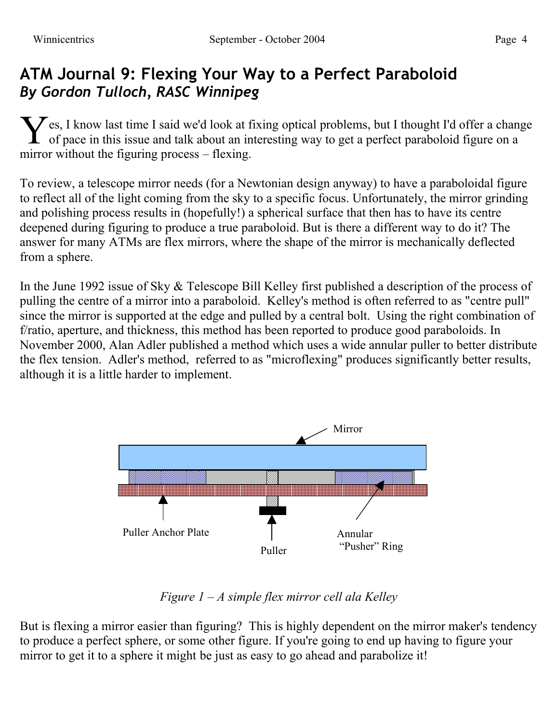## **ATM Journal 9: Flexing Your Way to a Perfect Paraboloid** *By Gordon Tulloch, RASC Winnipeg*

es, I know last time I said we'd look at fixing optical problems, but I thought I'd offer a change of pace in this issue and talk about an interesting way to get a perfect paraboloid figure on a mirror without the figuring process – flexing. Y

To review, a telescope mirror needs (for a Newtonian design anyway) to have a paraboloidal figure to reflect all of the light coming from the sky to a specific focus. Unfortunately, the mirror grinding and polishing process results in (hopefully!) a spherical surface that then has to have its centre deepened during figuring to produce a true paraboloid. But is there a different way to do it? The answer for many ATMs are flex mirrors, where the shape of the mirror is mechanically deflected from a sphere.

In the June 1992 issue of Sky & Telescope Bill Kelley first published a description of the process of pulling the centre of a mirror into a paraboloid. Kelley's method is often referred to as "centre pull" since the mirror is supported at the edge and pulled by a central bolt. Using the right combination of f/ratio, aperture, and thickness, this method has been reported to produce good paraboloids. In November 2000, Alan Adler published a method which uses a wide annular puller to better distribute the flex tension. Adler's method, referred to as "microflexing" produces significantly better results, although it is a little harder to implement.



*Figure 1 – A simple flex mirror cell ala Kelley*

But is flexing a mirror easier than figuring? This is highly dependent on the mirror maker's tendency to produce a perfect sphere, or some other figure. If you're going to end up having to figure your mirror to get it to a sphere it might be just as easy to go ahead and parabolize it!